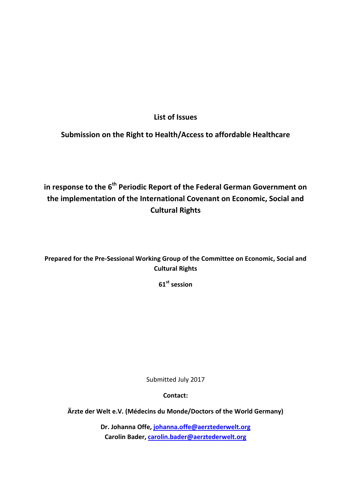**List of Issues** 

**Submission on the Right to Health/Access to affordable Healthcare** 

**in response to the 6th Periodic Report of the Federal German Government on the implementation of the International Covenant on Economic, Social and Cultural Rights** 

**Prepared for the Pre-Sessional Working Group of the Committee on Economic, Social and Cultural Rights** 

**61st session** 

Submitted July 2017

**Contact:** 

**Ärzte der Welt e.V. (Médecins du Monde/Doctors of the World Germany)** 

**Dr. Johanna Offe, johanna.offe@aerztederwelt.org Carolin Bader, carolin.bader@aerztederwelt.org**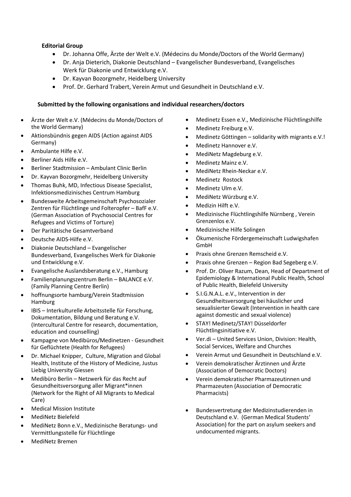# **Editorial Group**

- Dr. Johanna Offe, Ärzte der Welt e.V. (Médecins du Monde/Doctors of the World Germany)
- Dr. Anja Dieterich, Diakonie Deutschland Evangelischer Bundesverband, Evangelisches Werk für Diakonie und Entwicklung e.V.
- Dr. Kayvan Bozorgmehr, Heidelberg University
- Prof. Dr. Gerhard Trabert, Verein Armut und Gesundheit in Deutschland e.V.

#### **Submitted by the following organisations and individual researchers/doctors**

- Ärzte der Welt e.V. (Médecins du Monde/Doctors of the World Germany)
- Aktionsbündnis gegen AIDS (Action against AIDS Germany)
- Ambulante Hilfe e.V.
- Berliner Aids Hilfe e.V.
- Berliner Stadtmission Ambulant Clinic Berlin
- Dr. Kayvan Bozorgmehr, Heidelberg University
- Thomas Buhk, MD, Infectious Disease Specialist, Infektionsmedizinisches Centrum Hamburg
- Bundesweite Arbeitsgemeinschaft Psychosozialer Zentren für Flüchtlinge und Folteropfer – BafF e.V. (German Association of Psychosocial Centres for Refugees and Victims of Torture)
- Der Paritätische Gesamtverband
- Deutsche AIDS-Hilfe e.V.
- Diakonie Deutschland Evangelischer Bundesverband, Evangelisches Werk für Diakonie und Entwicklung e.V.
- Evangelische Auslandsberatung e.V., Hamburg
- Familienplanungszentrum Berlin BALANCE e.V. (Family Planning Centre Berlin)
- hoffnungsorte hamburg/Verein Stadtmission Hamburg
- IBIS Interkulturelle Arbeitsstelle für Forschung, Dokumentation, Bildung und Beratung e.V. (Intercultural Centre for research, documentation, education and counselling)
- Kampagne von Medibüros/Medinetzen Gesundheit für Geflüchtete (Health for Refugees)
- Dr. Michael Knipper, Culture, Migration and Global Health, Institute of the History of Medicine, Justus Liebig University Giessen
- Medibüro Berlin Netzwerk für das Recht auf Gesundheitsversorgung aller Migrant\*innen (Network for the Right of All Migrants to Medical Care)
- Medical Mission Institute
- MediNetz Bielefeld
- MediNetz Bonn e.V., Medizinische Beratungs- und Vermittlungsstelle für Flüchtlinge
- MediNetz Bremen
- Medinetz Essen e.V., Medizinische Flüchtlingshilfe
- Medinetz Freiburg e.V.
- Medinetz Göttingen solidarity with migrants e.V.!
- Medinetz Hannover e.V.
- MediNetz Magdeburg e.V.
- Medinetz Mainz e.V.
- MediNetz Rhein-Neckar e.V.
- Medinetz Rostock
- Medinetz Ulm e.V.
- MediNetz Würzburg e.V.
- Medizin Hilft e.V.
- Medizinische Flüchtlingshilfe Nürnberg , Verein Grenzenlos e.V.
- Medizinische Hilfe Solingen
- Ökumenische Fördergemeinschaft Ludwigshafen GmbH
- Praxis ohne Grenzen Remscheid e.V.
- Praxis ohne Grenzen Region Bad Segeberg e.V.
- Prof. Dr. Oliver Razum, Dean, Head of Department of Epidemiology & International Public Health, School of Public Health, Bielefeld University
- S.I.G.N.A.L. e.V., Intervention in der Gesundheitsversorgung bei häuslicher und sexualisierter Gewalt (Intervention in health care against domestic and sexual violence)
- STAY! Medinetz/STAY! Düsseldorfer Flüchtlingsinitiative e.V.
- Ver.di United Services Union, Division: Health, Social Services, Welfare and Churches
- Verein Armut und Gesundheit in Deutschland e.V.
- Verein demokratischer Ärztinnen und Ärzte (Association of Democratic Doctors)
- Verein demokratischer Pharmazeutinnen und Pharmazeuten (Association of Democratic Pharmacists)
- Bundesvertretung der Medizinstudierenden in Deutschland e.V. (German Medical Students' Association) for the part on asylum seekers and undocumented migrants.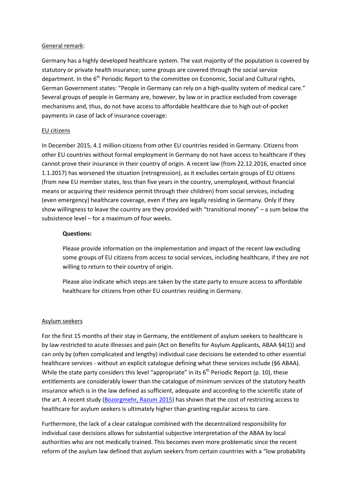## General remark:

Germany has a highly developed healthcare system. The vast majority of the population is covered by statutory or private health insurance; some groups are covered through the social service department. In the 6<sup>th</sup> Periodic Report to the committee on Economic, Social and Cultural rights, German Government states: "People in Germany can rely on a high-quality system of medical care." Several groups of people in Germany are, however, by law or in practice excluded from coverage mechanisms and, thus, do not have access to affordable healthcare due to high out-of-pocket payments in case of lack of insurance coverage:

## EU citizens

In December 2015, 4.1 million citizens from other EU countries resided in Germany. Citizens from other EU countries without formal employment in Germany do not have access to healthcare if they cannot prove their insurance in their country of origin. A recent law (from 22.12.2016, enacted since 1.1.2017) has worsened the situation (retrogression), as it excludes certain groups of EU citizens (from new EU member states, less than five years in the country, unemployed, without financial means or acquiring their residence permit through their children) from social services, including (even emergency) healthcare coverage, even if they are legally residing in Germany. Only if they show willingness to leave the country are they provided with "transitional money" – a sum below the subsistence level – for a maximum of four weeks.

## **Questions:**

Please provide information on the implementation and impact of the recent law excluding some groups of EU citizens from access to social services, including healthcare, if they are not willing to return to their country of origin.

Please also indicate which steps are taken by the state party to ensure access to affordable healthcare for citizens from other EU countries residing in Germany.

# Asylum seekers

For the first 15 months of their stay in Germany, the entitlement of asylum seekers to healthcare is by law restricted to acute illnesses and pain (Act on Benefits for Asylum Applicants, ABAA §4(1)) and can only by (often complicated and lengthy) individual case decisions be extended to other essential healthcare services - without an explicit catalogue defining what these services include (§6 ABAA). While the state party considers this level "appropriate" in its  $6<sup>th</sup>$  Periodic Report (p. 10), these entitlements are considerably lower than the catalogue of minimum services of the statutory health insurance which is in the law defined as sufficient, adequate and according to the scientific state of the art. A recent study (Bozorgmehr, Razum 2015) has shown that the cost of restricting access to healthcare for asylum seekers is ultimately higher than granting regular access to care.

Furthermore, the lack of a clear catalogue combined with the decentralized responsibility for individual case decisions allows for substantial subjective interpretation of the ABAA by local authorities who are not medically trained. This becomes even more problematic since the recent reform of the asylum law defined that asylum seekers from certain countries with a "low probability